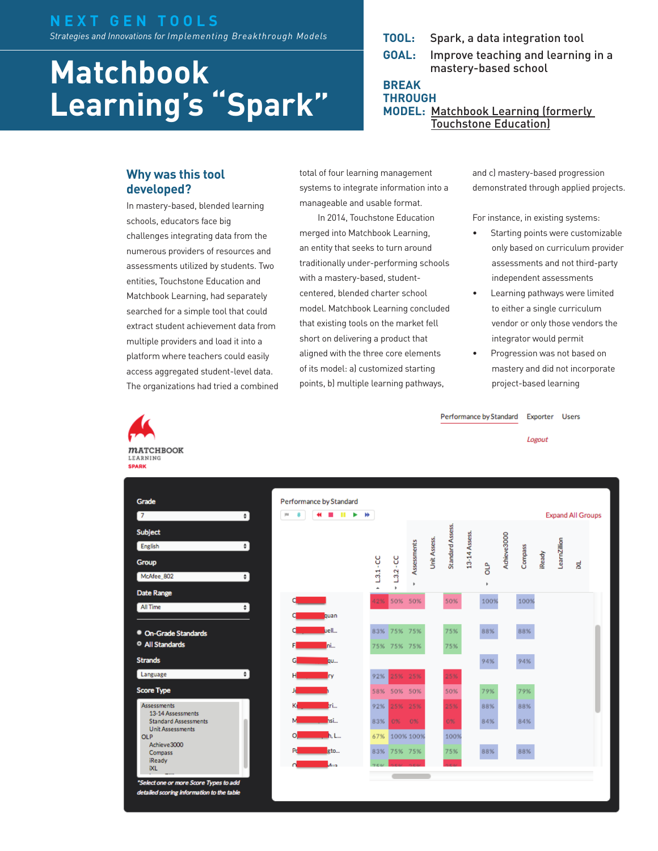#### **N E X T G E N T O O L S**  *Strategies and Innovations for Implementing Breakthrough Models*

# **Matchbook Learning's "Spark"**

**TOOL:** Spark, a data integration tool

**GOAL:** Improve teaching and learning in a mastery-based school

**BREAK THROUGH**

**MODEL:** [Matchbook Learning \(formerly](http://nextgenlearning.org/grantee/touchstone-education)  [Touchstone Education\)](http://nextgenlearning.org/grantee/touchstone-education)

# **Why was this tool developed?**

 $m$ ATCHBOOK LEARNING **SPARK** 

> • On-Grade Stand <sup>O</sup> All Standards **Strands** Language **Score Type** Assessments 13-14 Assessment **Standard Assessm** Unit Assessments

**OLP** Achieve3000 Compass iReady **IXL** 

ect one or more So detailed scoring infort

Grade  $\overline{7}$ Subject English Group McAfee\_802 Date Range All Time

In mastery-based, blended learning schools, educators face big challenges integrating data from the numerous providers of resources and assessments utilized by students. Two entities, Touchstone Education and Matchbook Learning, had separately searched for a simple tool that could extract student achievement data from multiple providers and load it into a platform where teachers could easily access aggregated student-level data. The organizations had tried a combined total of four learning management systems to integrate information into a manageable and usable format.

In 2014, Touchstone Education merged into Matchbook Learning, an entity that seeks to turn around traditionally under-performing schools with a mastery-based, studentcentered, blended charter school model. Matchbook Learning concluded that existing tools on the market fell short on delivering a product that aligned with the three core elements of its model: a) customized starting points, b) multiple learning pathways,

and c) mastery-based progression demonstrated through applied projects.

For instance, in existing systems:

- Starting points were customizable only based on curriculum provider assessments and not third-party independent assessments
- Learning pathways were limited to either a single curriculum vendor or only those vendors the integrator would permit
- Progression was not based on mastery and did not incorporate project-based learning

Performance by Standard Exporter Users

Logout

| #<br>$\ddot{\cdot}$<br>jns         | H)               |                  |                  |              |                         |               |        |             |         |              | <b>Expand All Groups</b> |   |
|------------------------------------|------------------|------------------|------------------|--------------|-------------------------|---------------|--------|-------------|---------|--------------|--------------------------|---|
| $\ddot{\cdot}$<br>$\ddot{\bullet}$ | $L3.1 - CC$<br>Ă | $L3.2 - CC$<br>٠ | Assessments<br>k | Unit Assess. | <b>Standard Assess.</b> | 13-14 Assess. | å<br>k | Achieve3000 | Compass | <b>Ready</b> | LearnZillion             | X |
| о<br>$\cdot$                       | 42%              |                  | 50% 50%          |              | 50%                     |               | 100%   |             | 100%    |              |                          |   |
| quan                               |                  |                  |                  |              |                         |               |        |             |         |              |                          |   |
| uell                               | 83%              | 75% 75%          |                  |              | 75%                     |               | 88%    |             | 88%     |              |                          |   |
| ni<br>F                            | 75%              | 75% 75%          |                  |              | 75%                     |               |        |             |         |              |                          |   |
| G<br>gu                            |                  |                  |                  |              |                         |               | 94%    |             | 94%     |              |                          |   |
| Iry<br>н                           | 92%              |                  | 25% 25%          |              | 25%                     |               |        |             |         |              |                          |   |
|                                    | 58%              |                  | 50% 50%          |              | 50%                     |               | 79%    |             | 79%     |              |                          |   |
| tri<br>Ki                          | 92%              |                  | 25% 25%          |              | 25%                     |               | 88%    |             | 88%     |              |                          |   |
| hsi<br>м                           | 83%              | 0%               | 0%               |              | 0%                      |               | 84%    |             | 84%     |              |                          |   |
| ol<br>h, L                         | 67%              |                  | 100% 100%        |              | 100%                    |               |        |             |         |              |                          |   |
| gto<br>Pd                          | 83%              |                  | 75% 75%          |              | 75%                     |               | 88%    |             | 88%     |              |                          |   |
| Mus<br>o                           |                  |                  |                  |              |                         |               |        |             |         |              |                          |   |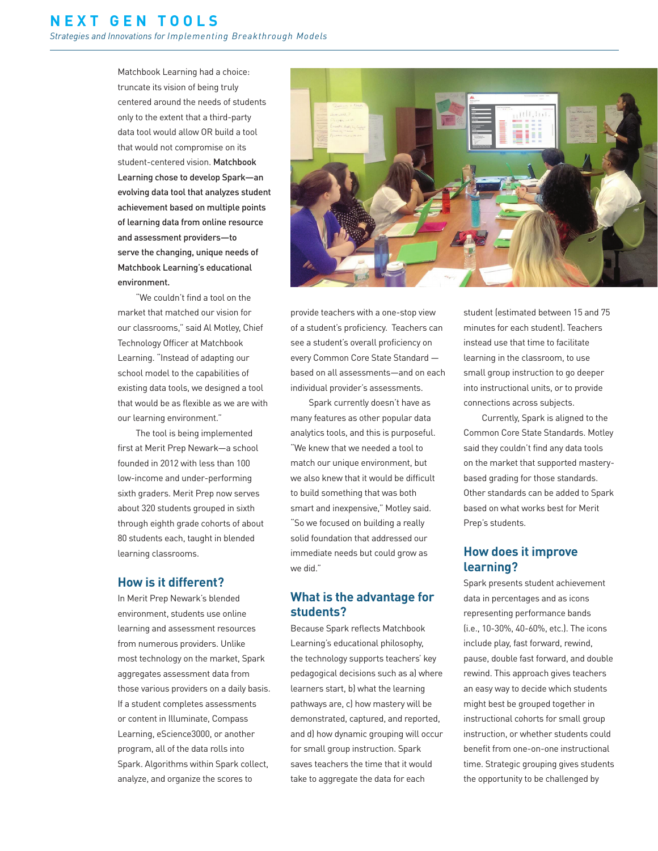Matchbook Learning had a choice: truncate its vision of being truly centered around the needs of students only to the extent that a third-party data tool would allow OR build a tool that would not compromise on its student-centered vision. Matchbook Learning chose to develop Spark—an evolving data tool that analyzes student achievement based on multiple points of learning data from online resource and assessment providers—to serve the changing, unique needs of Matchbook Learning's educational environment.

"We couldn't find a tool on the market that matched our vision for our classrooms," said Al Motley, Chief Technology Officer at Matchbook Learning. "Instead of adapting our school model to the capabilities of existing data tools, we designed a tool that would be as flexible as we are with our learning environment."

The tool is being implemented first at Merit Prep Newark—a school founded in 2012 with less than 100 low-income and under-performing sixth graders. Merit Prep now serves about 320 students grouped in sixth through eighth grade cohorts of about 80 students each, taught in blended learning classrooms.

#### **How is it different?**

In Merit Prep Newark's blended environment, students use online learning and assessment resources from numerous providers. Unlike most technology on the market, Spark aggregates assessment data from those various providers on a daily basis. If a student completes assessments or content in Illuminate, Compass Learning, eScience3000, or another program, all of the data rolls into Spark. Algorithms within Spark collect, analyze, and organize the scores to



provide teachers with a one-stop view of a student's proficiency. Teachers can see a student's overall proficiency on every Common Core State Standard based on all assessments—and on each individual provider's assessments.

Spark currently doesn't have as many features as other popular data analytics tools, and this is purposeful. "We knew that we needed a tool to match our unique environment, but we also knew that it would be difficult to build something that was both smart and inexpensive," Motley said. "So we focused on building a really solid foundation that addressed our immediate needs but could grow as we did."

#### **What is the advantage for students?**

Because Spark reflects Matchbook Learning's educational philosophy, the technology supports teachers' key pedagogical decisions such as a) where learners start, b) what the learning pathways are, c) how mastery will be demonstrated, captured, and reported, and d) how dynamic grouping will occur for small group instruction. Spark saves teachers the time that it would take to aggregate the data for each

student (estimated between 15 and 75 minutes for each student). Teachers instead use that time to facilitate learning in the classroom, to use small group instruction to go deeper into instructional units, or to provide connections across subjects.

Currently, Spark is aligned to the Common Core State Standards. Motley said they couldn't find any data tools on the market that supported masterybased grading for those standards. Other standards can be added to Spark based on what works best for Merit Prep's students.

#### **How does it improve learning?**

Spark presents student achievement data in percentages and as icons representing performance bands (i.e., 10-30%, 40-60%, etc.). The icons include play, fast forward, rewind, pause, double fast forward, and double rewind. This approach gives teachers an easy way to decide which students might best be grouped together in instructional cohorts for small group instruction, or whether students could benefit from one-on-one instructional time. Strategic grouping gives students the opportunity to be challenged by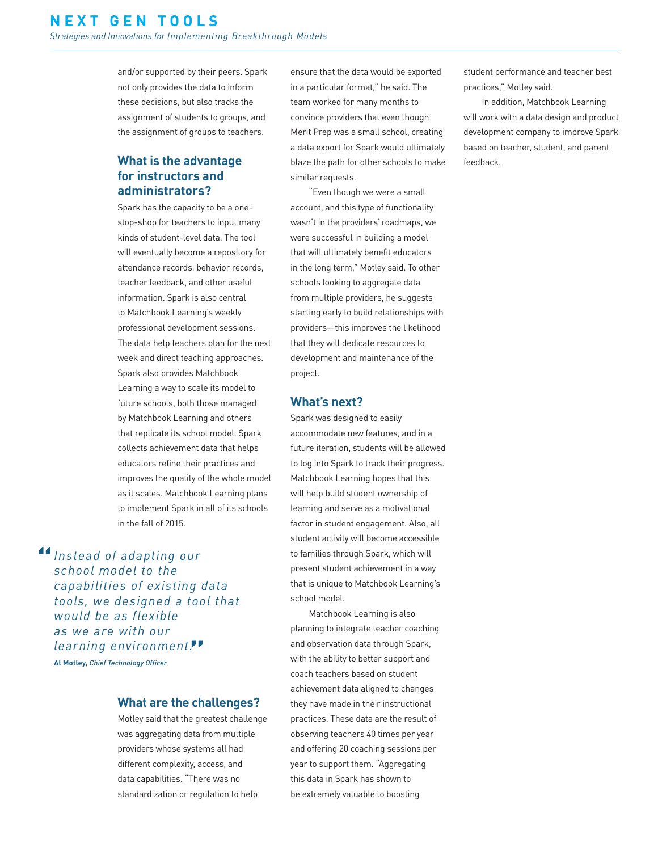and/or supported by their peers. Spark not only provides the data to inform these decisions, but also tracks the assignment of students to groups, and the assignment of groups to teachers.

### **What is the advantage for instructors and administrators?**

Spark has the capacity to be a onestop-shop for teachers to input many kinds of student-level data. The tool will eventually become a repository for attendance records, behavior records, teacher feedback, and other useful information. Spark is also central to Matchbook Learning's weekly professional development sessions. The data help teachers plan for the next week and direct teaching approaches. Spark also provides Matchbook Learning a way to scale its model to future schools, both those managed by Matchbook Learning and others that replicate its school model. Spark collects achievement data that helps educators refine their practices and improves the quality of the whole model as it scales. Matchbook Learning plans to implement Spark in all of its schools in the fall of 2015.

**14** Instead of adapting our school model to the *school model to the capabilities of existing data tools, we designed a tool that would be as flexible as we are with our learning environment.* **"Al Motley,** *Chief Technology Officer*

#### **What are the challenges?**

Motley said that the greatest challenge was aggregating data from multiple providers whose systems all had different complexity, access, and data capabilities. "There was no standardization or regulation to help

ensure that the data would be exported in a particular format," he said. The team worked for many months to convince providers that even though Merit Prep was a small school, creating a data export for Spark would ultimately blaze the path for other schools to make similar requests.

"Even though we were a small account, and this type of functionality wasn't in the providers' roadmaps, we were successful in building a model that will ultimately benefit educators in the long term," Motley said. To other schools looking to aggregate data from multiple providers, he suggests starting early to build relationships with providers—this improves the likelihood that they will dedicate resources to development and maintenance of the project.

#### **What's next?**

Spark was designed to easily accommodate new features, and in a future iteration, students will be allowed to log into Spark to track their progress. Matchbook Learning hopes that this will help build student ownership of learning and serve as a motivational factor in student engagement. Also, all student activity will become accessible to families through Spark, which will present student achievement in a way that is unique to Matchbook Learning's school model.

Matchbook Learning is also planning to integrate teacher coaching and observation data through Spark, with the ability to better support and coach teachers based on student achievement data aligned to changes they have made in their instructional practices. These data are the result of observing teachers 40 times per year and offering 20 coaching sessions per year to support them. "Aggregating this data in Spark has shown to be extremely valuable to boosting

student performance and teacher best practices," Motley said.

In addition, Matchbook Learning will work with a data design and product development company to improve Spark based on teacher, student, and parent feedback.